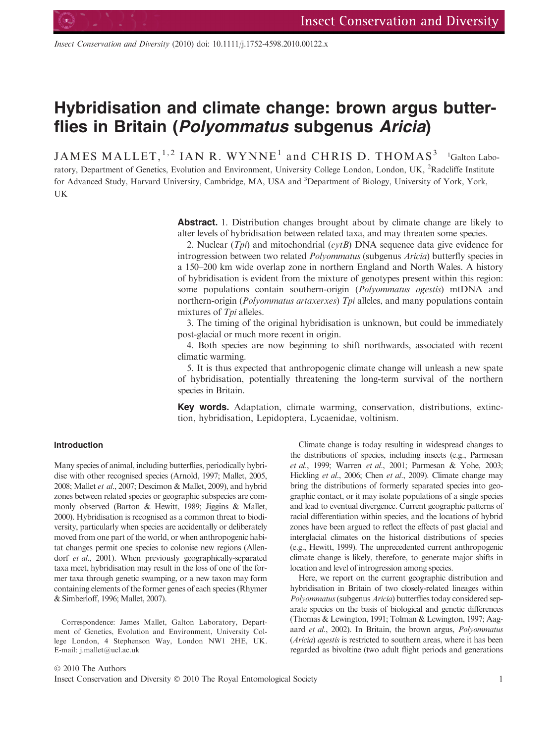Insect Conservation and Diversity (2010) doi: 10.1111/j.1752-4598.2010.00122.x

# Hybridisation and climate change: brown argus butterflies in Britain (Polyommatus subgenus Aricia)

<code>JAMES</code> <code>MALLET, $^{1,2}$  IAN R. WYNNE<sup>1</sup> and CHRIS D. THOMAS<sup>3</sup>  $^{-1}$ Galton Labo-</code> ratory, Department of Genetics, Evolution and Environment, University College London, London, UK, <sup>2</sup>Radcliffe Institute for Advanced Study, Harvard University, Cambridge, MA, USA and <sup>3</sup>Department of Biology, University of York, York, UK

> Abstract. 1. Distribution changes brought about by climate change are likely to alter levels of hybridisation between related taxa, and may threaten some species.

> 2. Nuclear (*Tpi*) and mitochondrial (*cytB*) DNA sequence data give evidence for introgression between two related Polyommatus (subgenus Aricia) butterfly species in a 150–200 km wide overlap zone in northern England and North Wales. A history of hybridisation is evident from the mixture of genotypes present within this region: some populations contain southern-origin (Polyommatus agestis) mtDNA and northern-origin (Polyommatus artaxerxes) Tpi alleles, and many populations contain mixtures of Tpi alleles.

> 3. The timing of the original hybridisation is unknown, but could be immediately post-glacial or much more recent in origin.

> 4. Both species are now beginning to shift northwards, associated with recent climatic warming.

> 5. It is thus expected that anthropogenic climate change will unleash a new spate of hybridisation, potentially threatening the long-term survival of the northern species in Britain.

> Key words. Adaptation, climate warming, conservation, distributions, extinction, hybridisation, Lepidoptera, Lycaenidae, voltinism.

# Introduction

Many species of animal, including butterflies, periodically hybridise with other recognised species (Arnold, 1997; Mallet, 2005, 2008; Mallet et al., 2007; Descimon & Mallet, 2009), and hybrid zones between related species or geographic subspecies are commonly observed (Barton & Hewitt, 1989; Jiggins & Mallet, 2000). Hybridisation is recognised as a common threat to biodiversity, particularly when species are accidentally or deliberately moved from one part of the world, or when anthropogenic habitat changes permit one species to colonise new regions (Allendorf et al., 2001). When previously geographically-separated taxa meet, hybridisation may result in the loss of one of the former taxa through genetic swamping, or a new taxon may form containing elements of the former genes of each species (Rhymer & Simberloff, 1996; Mallet, 2007).

Correspondence: James Mallet, Galton Laboratory, Department of Genetics, Evolution and Environment, University College London, 4 Stephenson Way, London NW1 2HE, UK. E-mail: j.mallet@ucl.ac.uk

Climate change is today resulting in widespread changes to the distributions of species, including insects (e.g., Parmesan et al., 1999; Warren et al., 2001; Parmesan & Yohe, 2003; Hickling et al., 2006; Chen et al., 2009). Climate change may bring the distributions of formerly separated species into geographic contact, or it may isolate populations of a single species and lead to eventual divergence. Current geographic patterns of racial differentiation within species, and the locations of hybrid zones have been argued to reflect the effects of past glacial and interglacial climates on the historical distributions of species (e.g., Hewitt, 1999). The unprecedented current anthropogenic climate change is likely, therefore, to generate major shifts in location and level of introgression among species.

Here, we report on the current geographic distribution and hybridisation in Britain of two closely-related lineages within Polyommatus (subgenus Aricia) butterflies today considered separate species on the basis of biological and genetic differences (Thomas & Lewington, 1991; Tolman & Lewington, 1997; Aagaard et al., 2002). In Britain, the brown argus, Polyommatus (Aricia) agestis is restricted to southern areas, where it has been regarded as bivoltine (two adult flight periods and generations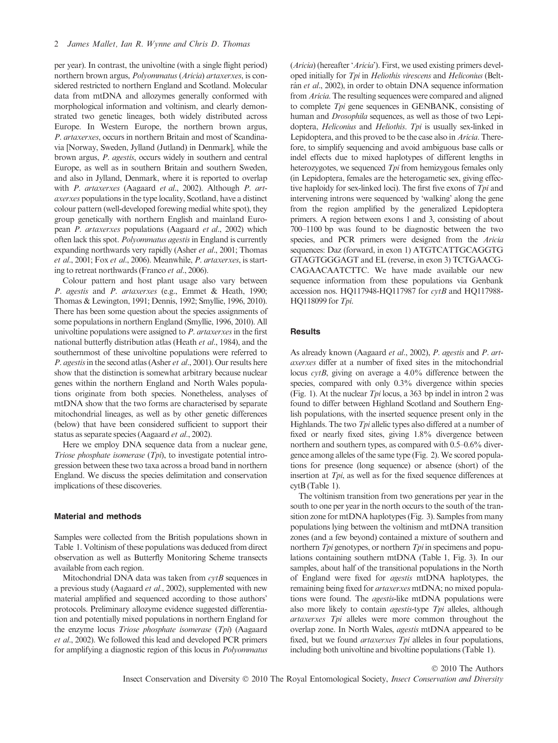per year). In contrast, the univoltine (with a single flight period) northern brown argus, Polyommatus (Aricia) artaxerxes, is considered restricted to northern England and Scotland. Molecular data from mtDNA and allozymes generally conformed with morphological information and voltinism, and clearly demonstrated two genetic lineages, both widely distributed across Europe. In Western Europe, the northern brown argus, P. artaxerxes, occurs in northern Britain and most of Scandinavia [Norway, Sweden, Jylland (Jutland) in Denmark], while the brown argus, P. agestis, occurs widely in southern and central Europe, as well as in southern Britain and southern Sweden, and also in Jylland, Denmark, where it is reported to overlap with P. artaxerxes (Aagaard et al., 2002). Although P. artaxerxes populations in the type locality, Scotland, have a distinct colour pattern (well-developed forewing medial white spot), they group genetically with northern English and mainland European P. artaxerxes populations (Aagaard et al., 2002) which often lack this spot. Polyommatus agestis in England is currently expanding northwards very rapidly (Asher *et al.*, 2001; Thomas et al., 2001; Fox et al., 2006). Meanwhile, P. artaxerxes, is starting to retreat northwards (Franco et al., 2006).

Colour pattern and host plant usage also vary between P. agestis and P. artaxerxes (e.g., Emmet & Heath, 1990; Thomas & Lewington, 1991; Dennis, 1992; Smyllie, 1996, 2010). There has been some question about the species assignments of some populations in northern England (Smyllie, 1996, 2010). All univoltine populations were assigned to P. artaxerxes in the first national butterfly distribution atlas (Heath et al., 1984), and the southernmost of these univoltine populations were referred to P. agestis in the second atlas (Asher et al., 2001). Our results here show that the distinction is somewhat arbitrary because nuclear genes within the northern England and North Wales populations originate from both species. Nonetheless, analyses of mtDNA show that the two forms are characterised by separate mitochondrial lineages, as well as by other genetic differences (below) that have been considered sufficient to support their status as separate species (Aagaard et al., 2002).

Here we employ DNA sequence data from a nuclear gene, Triose phosphate isomerase  $(Tpi)$ , to investigate potential introgression between these two taxa across a broad band in northern England. We discuss the species delimitation and conservation implications of these discoveries.

# Material and methods

Samples were collected from the British populations shown in Table 1. Voltinism of these populations was deduced from direct observation as well as Butterfly Monitoring Scheme transects available from each region.

Mitochondrial DNA data was taken from  $cytB$  sequences in a previous study (Aagaard et al., 2002), supplemented with new material amplified and sequenced according to those authors' protocols. Preliminary allozyme evidence suggested differentiation and potentially mixed populations in northern England for the enzyme locus Triose phosphate isomerase (Tpi) (Aagaard et al., 2002). We followed this lead and developed PCR primers for amplifying a diagnostic region of this locus in Polyommatus

(Aricia) (hereafter 'Aricia'). First, we used existing primers developed initially for Tpi in Heliothis virescens and Heliconius (Beltrán et al., 2002), in order to obtain DNA sequence information from Aricia. The resulting sequences were compared and aligned to complete Tpi gene sequences in GENBANK, consisting of human and Drosophila sequences, as well as those of two Lepidoptera, Heliconius and Heliothis. Tpi is usually sex-linked in Lepidoptera, and this proved to be the case also in Aricia. Therefore, to simplify sequencing and avoid ambiguous base calls or indel effects due to mixed haplotypes of different lengths in heterozygotes, we sequenced Tpi from hemizygous females only (in Lepidoptera, females are the heterogametic sex, giving effective haploidy for sex-linked loci). The first five exons of Tpi and intervening introns were sequenced by 'walking' along the gene from the region amplified by the generalized Lepidoptera primers. A region between exons 1 and 3, consisting of about 700–1100 bp was found to be diagnostic between the two species, and PCR primers were designed from the Aricia sequences: Daz (forward, in exon 1) ATGTCATTGCAGGTG GTAGTGGGAGT and EL (reverse, in exon 3) TCTGAACG-CAGAACAATCTTC. We have made available our new sequence information from these populations via Genbank accession nos. HQ117948-HQ117987 for cytB and HQ117988-HQ118099 for Tpi.

# **Results**

As already known (Aagaard et al., 2002), P. agestis and P. artaxerxes differ at a number of fixed sites in the mitochondrial locus cytB, giving on average a 4.0% difference between the species, compared with only 0.3% divergence within species (Fig. 1). At the nuclear  $Tpi$  locus, a 363 bp indel in intron 2 was found to differ between Highland Scotland and Southern English populations, with the inserted sequence present only in the Highlands. The two Tpi allelic types also differed at a number of fixed or nearly fixed sites, giving 1.8% divergence between northern and southern types, as compared with 0.5–0.6% divergence among alleles of the same type (Fig. 2). We scored populations for presence (long sequence) or absence (short) of the insertion at Tpi, as well as for the fixed sequence differences at cytB (Table 1).

The voltinism transition from two generations per year in the south to one per year in the north occurs to the south of the transition zone for mtDNA haplotypes (Fig. 3). Samples from many populations lying between the voltinism and mtDNA transition zones (and a few beyond) contained a mixture of southern and northern  $Tpi$  genotypes, or northern  $Tpi$  in specimens and populations containing southern mtDNA (Table 1, Fig. 3). In our samples, about half of the transitional populations in the North of England were fixed for agestis mtDNA haplotypes, the remaining being fixed for artaxerxes mtDNA; no mixed populations were found. The agestis-like mtDNA populations were also more likely to contain *agestis*-type *Tpi* alleles, although artaxerxes Tpi alleles were more common throughout the overlap zone. In North Wales, agestis mtDNA appeared to be fixed, but we found artaxerxes Tpi alleles in four populations, including both univoltine and bivoltine populations (Table 1).

#### © 2010 The Authors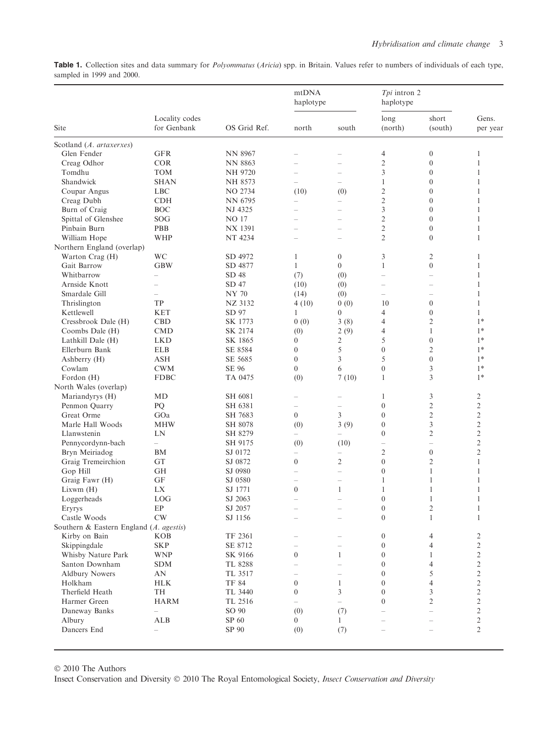Table 1. Collection sites and data summary for Polyommatus (Aricia) spp. in Britain. Values refer to numbers of individuals of each type, sampled in 1999 and 2000.

| Site                                    | Locality codes<br>for Genbank | OS Grid Ref.   | mtDNA<br>haplotype       |                          | Tpi intron 2<br>haplotype |                          |                   |
|-----------------------------------------|-------------------------------|----------------|--------------------------|--------------------------|---------------------------|--------------------------|-------------------|
|                                         |                               |                | north                    | south                    | long<br>(north)           | short<br>(south)         | Gens.<br>per year |
| Scotland (A. artaxerxes)                |                               |                |                          |                          |                           |                          |                   |
| Glen Fender                             | <b>GFR</b>                    | <b>NN 8967</b> | $\overline{\phantom{0}}$ | $\overline{\phantom{0}}$ | 4                         | $\boldsymbol{0}$         | 1                 |
| Creag Odhor                             | <b>COR</b>                    | <b>NN 8863</b> |                          | $\overline{\phantom{0}}$ | $\mathfrak{2}$            | $\boldsymbol{0}$         | 1                 |
| Tomdhu                                  | <b>TOM</b>                    | <b>NH 9720</b> |                          | $\overline{\phantom{0}}$ | 3                         | $\boldsymbol{0}$         | 1                 |
| Shandwick                               | <b>SHAN</b>                   | NH 8573        | $-$                      | $\overline{\phantom{0}}$ | 1                         | $\overline{0}$           | 1                 |
| Coupar Angus                            | <b>LBC</b>                    | NO 2734        | (10)                     | (0)                      | $\overline{c}$            | $\boldsymbol{0}$         | 1                 |
| Creag Dubh                              | <b>CDH</b>                    | NN 6795        |                          |                          | $\overline{c}$            | $\boldsymbol{0}$         | 1                 |
| Burn of Craig                           | <b>BOC</b>                    | NJ 4325        | $\equiv$                 | $\equiv$                 | 3                         | $\overline{0}$           | 1                 |
| Spittal of Glenshee                     | SOG                           | <b>NO 17</b>   |                          | $\overline{\phantom{0}}$ | $\mathfrak{2}$            | $\boldsymbol{0}$         | 1                 |
| Pinbain Burn                            | PBB                           | NX 1391        | $\overline{\phantom{a}}$ | $\equiv$                 | $\overline{c}$            | $\boldsymbol{0}$         | 1                 |
| William Hope                            | <b>WHP</b>                    | NT 4234        | $-$                      | $-$                      | $\mathfrak{2}$            | $\overline{0}$           | 1                 |
| Northern England (overlap)              |                               |                |                          |                          |                           |                          |                   |
| Warton Crag (H)                         | WC                            | SD 4972        | $\mathbf{1}$             | $\boldsymbol{0}$         | 3                         | $\overline{2}$           | 1                 |
| Gait Barrow                             | <b>GBW</b>                    | SD 4877        | $\mathbf{1}$             | $\theta$                 | $\mathbf{1}$              | $\boldsymbol{0}$         | 1                 |
| Whitbarrow                              | ÷                             | SD 48          | (7)                      | (0)                      | ÷                         | $\overline{\phantom{0}}$ | 1                 |
| Arnside Knott                           | Ľ.                            | SD 47          | (10)                     | (0)                      | ÷                         | $\equiv$                 | 1                 |
| Smardale Gill                           | $\overline{\phantom{0}}$      | <b>NY 70</b>   | (14)                     | (0)                      | $-$                       | $\overline{\phantom{0}}$ | 1                 |
| Thrislington                            | TP                            | NZ 3132        | 4(10)                    | 0(0)                     | 10                        | $\boldsymbol{0}$         | 1                 |
| Kettlewell                              | <b>KET</b>                    | SD 97          | $\mathbf{1}$             | $\overline{0}$           | 4                         | $\boldsymbol{0}$         | 1                 |
| Cressbrook Dale (H)                     | <b>CBD</b>                    | SK 1773        | 0(0)                     | 3(8)                     | 4                         | $\overline{2}$           | $1*$              |
| Coombs Dale (H)                         | <b>CMD</b>                    | SK 2174        | (0)                      | 2(9)                     | 4                         | 1                        | $1*$              |
| Lathkill Dale (H)                       | <b>LKD</b>                    | SK 1865        | $\boldsymbol{0}$         | $\mathfrak{2}$           | 5                         | $\boldsymbol{0}$         | $1*$              |
| Ellerburn Bank                          | <b>ELB</b>                    | SE 8584        | $\overline{0}$           | 5                        | $\overline{0}$            | $\mathfrak{2}$           | $1*$              |
| Ashberry (H)                            | <b>ASH</b>                    | SE 5685        | $\boldsymbol{0}$         | 3                        | 5                         | $\boldsymbol{0}$         | $1*$              |
| Cowlam                                  | <b>CWM</b>                    | SE 96          | $\overline{0}$           | 6                        | $\boldsymbol{0}$          | 3                        | $1*$              |
| Fordon (H)                              | <b>FDBC</b>                   | TA 0475        | (0)                      | 7(10)                    | $\mathbf{1}$              | 3                        | $1*$              |
| North Wales (overlap)                   |                               |                |                          |                          |                           |                          |                   |
| Mariandyrys (H)                         | MD                            | SH 6081        | $\overline{\phantom{0}}$ | $\overline{\phantom{0}}$ | 1                         | 3                        | 2                 |
| Penmon Quarry                           | PQ                            | SH 6381        | $\overline{\phantom{0}}$ | $\overline{\phantom{0}}$ | $\mathbf{0}$              | $\mathfrak{2}$           | $\overline{c}$    |
| Great Orme                              | GOa                           | SH 7683        | $\overline{0}$           | 3                        | $\boldsymbol{0}$          | $\overline{c}$           | $\overline{c}$    |
| Marle Hall Woods                        | <b>MHW</b>                    | SH 8078        | (0)                      | 3(9)                     | $\mathbf{0}$              | 3                        | $\mathfrak{2}$    |
| Llanwstenin                             | LN                            | SH 8279        | $\qquad \qquad -$        | $\overline{\phantom{0}}$ | $\mathbf{0}$              | $\overline{2}$           | $\overline{2}$    |
| Pennycordynn-bach                       | $\equiv$                      | SH 9175        | (0)                      | (10)                     | ÷                         | -                        | $\overline{2}$    |
| Bryn Meiriadog                          | <b>BM</b>                     | SJ 0172        | $\overline{\phantom{0}}$ | $\overline{\phantom{0}}$ | $\overline{2}$            | $\boldsymbol{0}$         | $\overline{2}$    |
| Graig Tremeirchion                      | <b>GT</b>                     | SJ 0872        | $\theta$                 | 2                        | $\mathbf{0}$              | $\overline{2}$           | 1                 |
| Gop Hill                                | <b>GH</b>                     | SJ 0980        | $-$                      | $\overline{\phantom{0}}$ | $\boldsymbol{0}$          | $\mathbf{1}$             | 1                 |
| Graig Fawr (H)                          | <b>GF</b>                     | SJ 0580        | $\overline{\phantom{0}}$ | -                        | $\mathbf{1}$              | $\mathbf{1}$             | 1                 |
| Lixwm(H)                                | LX                            | SJ 1771        | $\theta$                 | $\mathbf{1}$             | 1                         | $\mathbf{1}$             | 1                 |
| Loggerheads                             | <b>LOG</b>                    | SJ 2063        | $\overline{\phantom{0}}$ |                          | $\overline{0}$            | $\mathbf{1}$             | 1                 |
| Eryrys                                  | EP                            | SJ 2057        |                          | $\qquad \qquad -$        | $\boldsymbol{0}$          | $\overline{2}$           | 1                 |
| Castle Woods                            | <b>CW</b>                     | SJ 1156        |                          | $\equiv$                 | $\theta$                  | $\mathbf{1}$             | $\mathbf{1}$      |
| Southern & Eastern England (A. agestis) |                               |                |                          |                          |                           |                          |                   |
| Kirby on Bain                           | KOB                           | TF 2361        |                          | $\overline{\phantom{0}}$ | $\mathbf{0}$              | 4                        | 2                 |
| Skippingdale                            | SKP                           | SE 8712        |                          | $\overline{\phantom{0}}$ | $\mathbf{0}$              | 4                        | $\overline{2}$    |
| Whisby Nature Park                      | <b>WNP</b>                    | SK 9166        | $\boldsymbol{0}$         | $\mathbf{1}$             | $\boldsymbol{0}$          | 1                        | $\overline{c}$    |
| Santon Downham                          | <b>SDM</b>                    | TL 8288        |                          |                          | $\mathbf{0}$              | 4                        | $\sqrt{2}$        |
| <b>Aldbury Nowers</b>                   | AN                            | TL 3517        | $-$                      | $\overline{\phantom{0}}$ | $\mathbf{0}$              | 5                        | $\mathbf{2}$      |
| Holkham                                 | <b>HLK</b>                    | <b>TF 84</b>   | $\boldsymbol{0}$         | $\mathbf{1}$             | $\boldsymbol{0}$          | 4                        | $\sqrt{2}$        |
| Therfield Heath                         | TH                            | TL 3440        | $\boldsymbol{0}$         | 3                        | $\mathbf{0}$              | 3                        | $\sqrt{2}$        |
| Harmer Green                            | <b>HARM</b>                   | TL 2516        | $\equiv$                 | $=$                      | $\mathbf{0}$              | $\mathfrak{2}$           | $\sqrt{2}$        |
| Daneway Banks                           | $\equiv$                      | SO 90          | (0)                      | (7)                      |                           |                          | $\mathbf{2}$      |
| Albury                                  | ALB                           | SP 60          | $\boldsymbol{0}$         | 1                        |                           | $\overline{\phantom{0}}$ | $\overline{c}$    |
| Dancers End                             | $\overline{\phantom{0}}$      | SP 90          | (0)                      | (7)                      |                           |                          | $\overline{2}$    |
|                                         |                               |                |                          |                          |                           |                          |                   |

© 2010 The Authors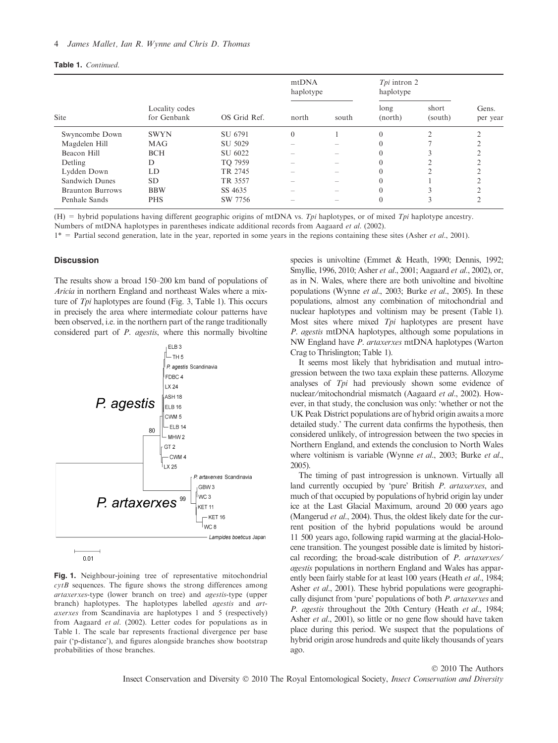| Table 1. Continued. |  |
|---------------------|--|
|---------------------|--|

| <b>Site</b>             | Locality codes<br>for Genbank | OS Grid Ref. | mtDNA<br>haplotype |       | Tpi intron 2<br>haplotype |                  |                   |
|-------------------------|-------------------------------|--------------|--------------------|-------|---------------------------|------------------|-------------------|
|                         |                               |              | north              | south | long<br>(north)           | short<br>(south) | Gens.<br>per year |
| Swyncombe Down          | <b>SWYN</b>                   | SU 6791      | $\theta$           |       | $\theta$                  | ◠                | $\sim$            |
| Magdelen Hill           | <b>MAG</b>                    | SU 5029      |                    |       | $\theta$                  |                  |                   |
| Beacon Hill             | <b>BCH</b>                    | SU 6022      |                    |       | $\theta$                  |                  |                   |
| Detling                 | D                             | TO 7959      |                    |       | $\theta$                  |                  |                   |
| Lydden Down             | LD                            | TR 2745      |                    |       | $\theta$                  |                  |                   |
| Sandwich Dunes          | <b>SD</b>                     | TR 3557      |                    |       | $\theta$                  |                  |                   |
| <b>Braunton Burrows</b> | <b>BBW</b>                    | SS 4635      |                    |       | $\theta$                  |                  |                   |
| Penhale Sands           | <b>PHS</b>                    | SW 7756      |                    |       | $\theta$                  | 3                | ↑                 |

(H) = hybrid populations having different geographic origins of mtDNA vs. Tpi haplotypes, or of mixed Tpi haplotype ancestry. Numbers of mtDNA haplotypes in parentheses indicate additional records from Aagaard et al. (2002).

 $1*$  = Partial second generation, late in the year, reported in some years in the regions containing these sites (Asher *et al.*, 2001).

#### **Discussion**

The results show a broad 150–200 km band of populations of Aricia in northern England and northeast Wales where a mixture of Tpi haplotypes are found (Fig. 3, Table 1). This occurs in precisely the area where intermediate colour patterns have been observed, i.e. in the northern part of the range traditionally considered part of *P. agestis*, where this normally bivoltine



 $0.01$ 

Fig. 1. Neighbour-joining tree of representative mitochondrial  $cytB$  sequences. The figure shows the strong differences among artaxerxes-type (lower branch on tree) and agestis-type (upper branch) haplotypes. The haplotypes labelled agestis and artaxerxes from Scandinavia are haplotypes 1 and 5 (respectively) from Aagaard et al. (2002). Letter codes for populations as in Table 1. The scale bar represents fractional divergence per base pair ('p-distance'), and figures alongside branches show bootstrap probabilities of those branches.

species is univoltine (Emmet & Heath, 1990; Dennis, 1992; Smyllie, 1996, 2010; Asher et al., 2001; Aagaard et al., 2002), or, as in N. Wales, where there are both univoltine and bivoltine populations (Wynne et al., 2003; Burke et al., 2005). In these populations, almost any combination of mitochondrial and nuclear haplotypes and voltinism may be present (Table 1). Most sites where mixed Tpi haplotypes are present have P. agestis mtDNA haplotypes, although some populations in NW England have P. artaxerxes mtDNA haplotypes (Warton Crag to Thrislington; Table 1).

It seems most likely that hybridisation and mutual introgression between the two taxa explain these patterns. Allozyme analyses of Tpi had previously shown some evidence of nuclear⁄mitochondrial mismatch (Aagaard et al., 2002). However, in that study, the conclusion was only: 'whether or not the UK Peak District populations are of hybrid origin awaits a more detailed study.' The current data confirms the hypothesis, then considered unlikely, of introgression between the two species in Northern England, and extends the conclusion to North Wales where voltinism is variable (Wynne et al., 2003; Burke et al., 2005).

The timing of past introgression is unknown. Virtually all land currently occupied by 'pure' British P. artaxerxes, and much of that occupied by populations of hybrid origin lay under ice at the Last Glacial Maximum, around 20 000 years ago (Mangerud *et al.*, 2004). Thus, the oldest likely date for the current position of the hybrid populations would be around 11 500 years ago, following rapid warming at the glacial-Holocene transition. The youngest possible date is limited by historical recording; the broad-scale distribution of P. artaxerxes⁄ agestis populations in northern England and Wales has apparently been fairly stable for at least 100 years (Heath et al., 1984; Asher et al., 2001). These hybrid populations were geographically disjunct from 'pure' populations of both P. artaxerxes and P. agestis throughout the 20th Century (Heath et al., 1984; Asher *et al.*, 2001), so little or no gene flow should have taken place during this period. We suspect that the populations of hybrid origin arose hundreds and quite likely thousands of years ago.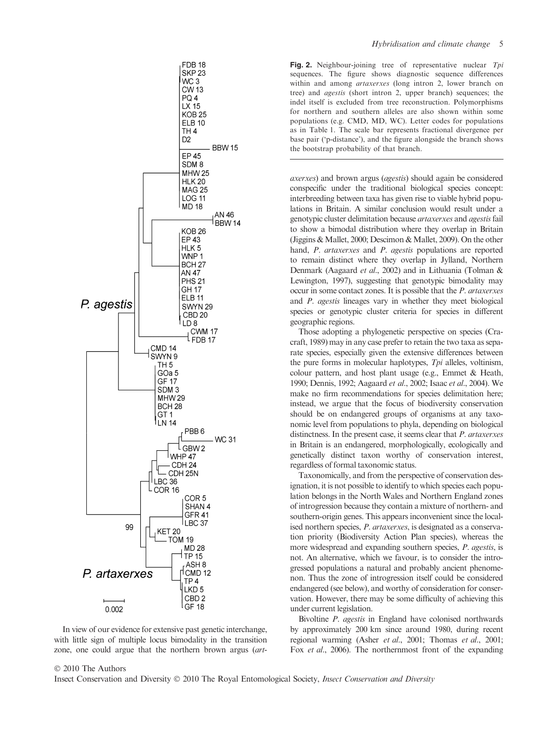

In view of our evidence for extensive past genetic interchange, with little sign of multiple locus bimodality in the transition zone, one could argue that the northern brown argus (artFig. 2. Neighbour-joining tree of representative nuclear Tpi sequences. The figure shows diagnostic sequence differences within and among artaxerxes (long intron 2, lower branch on tree) and agestis (short intron 2, upper branch) sequences; the indel itself is excluded from tree reconstruction. Polymorphisms for northern and southern alleles are also shown within some populations (e.g. CMD, MD, WC). Letter codes for populations as in Table 1. The scale bar represents fractional divergence per base pair ('p-distance'), and the figure alongside the branch shows the bootstrap probability of that branch.

axerxes) and brown argus (agestis) should again be considered conspecific under the traditional biological species concept: interbreeding between taxa has given rise to viable hybrid populations in Britain. A similar conclusion would result under a genotypic cluster delimitation because *artaxerxes* and *agestis* fail to show a bimodal distribution where they overlap in Britain (Jiggins & Mallet, 2000; Descimon & Mallet, 2009). On the other hand, *P. artaxerxes* and *P. agestis* populations are reported to remain distinct where they overlap in Jylland, Northern Denmark (Aagaard et al., 2002) and in Lithuania (Tolman & Lewington, 1997), suggesting that genotypic bimodality may occur in some contact zones. It is possible that the P. artaxerxes and P. agestis lineages vary in whether they meet biological species or genotypic cluster criteria for species in different geographic regions.

Those adopting a phylogenetic perspective on species (Cracraft, 1989) may in any case prefer to retain the two taxa as separate species, especially given the extensive differences between the pure forms in molecular haplotypes,  $Tpi$  alleles, voltinism, colour pattern, and host plant usage (e.g., Emmet & Heath, 1990; Dennis, 1992; Aagaard et al., 2002; Isaac et al., 2004). We make no firm recommendations for species delimitation here; instead, we argue that the focus of biodiversity conservation should be on endangered groups of organisms at any taxonomic level from populations to phyla, depending on biological distinctness. In the present case, it seems clear that *P. artaxerxes* in Britain is an endangered, morphologically, ecologically and genetically distinct taxon worthy of conservation interest, regardless of formal taxonomic status.

Taxonomically, and from the perspective of conservation designation, it is not possible to identify to which species each population belongs in the North Wales and Northern England zones of introgression because they contain a mixture of northern- and southern-origin genes. This appears inconvenient since the localised northern species, P. artaxerxes, is designated as a conservation priority (Biodiversity Action Plan species), whereas the more widespread and expanding southern species, P. agestis, is not. An alternative, which we favour, is to consider the introgressed populations a natural and probably ancient phenomenon. Thus the zone of introgression itself could be considered endangered (see below), and worthy of consideration for conservation. However, there may be some difficulty of achieving this under current legislation.

Bivoltine P. agestis in England have colonised northwards by approximately 200 km since around 1980, during recent regional warming (Asher et al., 2001; Thomas et al., 2001; Fox et al., 2006). The northernmost front of the expanding

#### © 2010 The Authors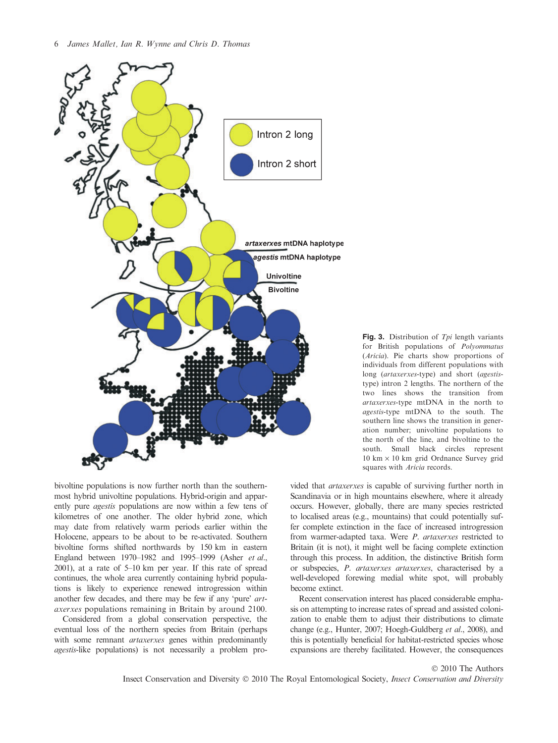

Fig. 3. Distribution of  $Tpi$  length variants for British populations of Polyommatus (Aricia). Pie charts show proportions of individuals from different populations with long (artaxerxes-type) and short (agestistype) intron 2 lengths. The northern of the two lines shows the transition from artaxerxes-type mtDNA in the north to agestis-type mtDNA to the south. The southern line shows the transition in generation number; univoltine populations to the north of the line, and bivoltine to the south. Small black circles represent  $10 \text{ km} \times 10 \text{ km}$  grid Ordnance Survey grid squares with Aricia records.

bivoltine populations is now further north than the southernmost hybrid univoltine populations. Hybrid-origin and apparently pure agestis populations are now within a few tens of kilometres of one another. The older hybrid zone, which may date from relatively warm periods earlier within the Holocene, appears to be about to be re-activated. Southern bivoltine forms shifted northwards by 150 km in eastern England between 1970–1982 and 1995–1999 (Asher et al., 2001), at a rate of 5–10 km per year. If this rate of spread continues, the whole area currently containing hybrid populations is likely to experience renewed introgression within another few decades, and there may be few if any 'pure' artaxerxes populations remaining in Britain by around 2100.

Considered from a global conservation perspective, the eventual loss of the northern species from Britain (perhaps with some remnant *artaxerxes* genes within predominantly agestis-like populations) is not necessarily a problem provided that artaxerxes is capable of surviving further north in Scandinavia or in high mountains elsewhere, where it already occurs. However, globally, there are many species restricted to localised areas (e.g., mountains) that could potentially suffer complete extinction in the face of increased introgression from warmer-adapted taxa. Were P. artaxerxes restricted to Britain (it is not), it might well be facing complete extinction through this process. In addition, the distinctive British form or subspecies, P. artaxerxes artaxerxes, characterised by a well-developed forewing medial white spot, will probably become extinct.

Recent conservation interest has placed considerable emphasis on attempting to increase rates of spread and assisted colonization to enable them to adjust their distributions to climate change (e.g., Hunter, 2007; Hoegh-Guldberg et al., 2008), and this is potentially beneficial for habitat-restricted species whose expansions are thereby facilitated. However, the consequences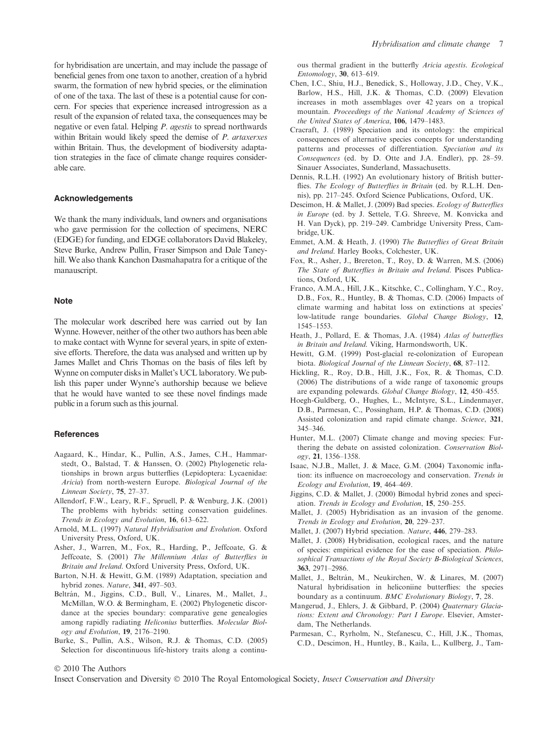for hybridisation are uncertain, and may include the passage of beneficial genes from one taxon to another, creation of a hybrid swarm, the formation of new hybrid species, or the elimination of one of the taxa. The last of these is a potential cause for concern. For species that experience increased introgression as a result of the expansion of related taxa, the consequences may be negative or even fatal. Helping P. agestis to spread northwards within Britain would likely speed the demise of P. artaxerxes within Britain. Thus, the development of biodiversity adaptation strategies in the face of climate change requires considerable care.

#### Acknowledgements

We thank the many individuals, land owners and organisations who gave permission for the collection of specimens, NERC (EDGE) for funding, and EDGE collaborators David Blakeley, Steve Burke, Andrew Pullin, Fraser Simpson and Dale Taneyhill. We also thank Kanchon Dasmahapatra for a critique of the manauscript.

### **Note**

The molecular work described here was carried out by Ian Wynne. However, neither of the other two authors has been able to make contact with Wynne for several years, in spite of extensive efforts. Therefore, the data was analysed and written up by James Mallet and Chris Thomas on the basis of files left by Wynne on computer disks in Mallet's UCL laboratory. We publish this paper under Wynne's authorship because we believe that he would have wanted to see these novel findings made public in a forum such as this journal.

#### **References**

- Aagaard, K., Hindar, K., Pullin, A.S., James, C.H., Hammarstedt, O., Balstad, T. & Hanssen, O. (2002) Phylogenetic relationships in brown argus butterflies (Lepidoptera: Lycaenidae: Aricia) from north-western Europe. Biological Journal of the Linnean Society, 75, 27–37.
- Allendorf, F.W., Leary, R.F., Spruell, P. & Wenburg, J.K. (2001) The problems with hybrids: setting conservation guidelines. Trends in Ecology and Evolution, 16, 613–622.
- Arnold, M.L. (1997) Natural Hybridisation and Evolution. Oxford University Press, Oxford, UK.
- Asher, J., Warren, M., Fox, R., Harding, P., Jeffcoate, G. & Jeffcoate, S. (2001) The Millennium Atlas of Butterflies in Britain and Ireland. Oxford University Press, Oxford, UK.
- Barton, N.H. & Hewitt, G.M. (1989) Adaptation, speciation and hybrid zones. Nature, 341, 497–503.
- Beltrán, M., Jiggins, C.D., Bull, V., Linares, M., Mallet, J., McMillan, W.O. & Bermingham, E. (2002) Phylogenetic discordance at the species boundary: comparative gene genealogies among rapidly radiating Heliconius butterflies. Molecular Biology and Evolution, 19, 2176–2190.
- Burke, S., Pullin, A.S., Wilson, R.J. & Thomas, C.D. (2005) Selection for discontinuous life-history traits along a continu-

ous thermal gradient in the butterfly Aricia agestis. Ecological Entomology, 30, 613–619.

- Chen, I.C., Shiu, H.J., Benedick, S., Holloway, J.D., Chey, V.K., Barlow, H.S., Hill, J.K. & Thomas, C.D. (2009) Elevation increases in moth assemblages over 42 years on a tropical mountain. Proceedings of the National Academy of Sciences of the United States of America, 106, 1479–1483.
- Cracraft, J. (1989) Speciation and its ontology: the empirical consequences of alternative species concepts for understanding patterns and processes of differentiation. Speciation and its Consequences (ed. by D. Otte and J.A. Endler), pp. 28–59. Sinauer Associates, Sunderland, Massachusetts.
- Dennis, R.L.H. (1992) An evolutionary history of British butterflies. The Ecology of Butterflies in Britain (ed. by R.L.H. Dennis), pp. 217–245. Oxford Science Publications, Oxford, UK.
- Descimon, H. & Mallet, J. (2009) Bad species. Ecology of Butterflies in Europe (ed. by J. Settele, T.G. Shreeve, M. Konvicka and H. Van Dyck), pp. 219–249. Cambridge University Press, Cambridge, UK.
- Emmet, A.M. & Heath, J. (1990) The Butterflies of Great Britain and Ireland. Harley Books, Colchester, UK.
- Fox, R., Asher, J., Brereton, T., Roy, D. & Warren, M.S. (2006) The State of Butterflies in Britain and Ireland. Pisces Publications, Oxford, UK.
- Franco, A.M.A., Hill, J.K., Kitschke, C., Collingham, Y.C., Roy, D.B., Fox, R., Huntley, B. & Thomas, C.D. (2006) Impacts of climate warming and habitat loss on extinctions at species' low-latitude range boundaries. Global Change Biology, 12, 1545–1553.
- Heath, J., Pollard, E. & Thomas, J.A. (1984) Atlas of butterflies in Britain and Ireland. Viking, Harmondsworth, UK.
- Hewitt, G.M. (1999) Post-glacial re-colonization of European biota. Biological Journal of the Linnean Society, 68, 87-112.
- Hickling, R., Roy, D.B., Hill, J.K., Fox, R. & Thomas, C.D. (2006) The distributions of a wide range of taxonomic groups are expanding polewards. Global Change Biology, 12, 450–455.
- Hoegh-Guldberg, O., Hughes, L., McIntyre, S.L., Lindenmayer, D.B., Parmesan, C., Possingham, H.P. & Thomas, C.D. (2008) Assisted colonization and rapid climate change. Science, 321, 345–346.
- Hunter, M.L. (2007) Climate change and moving species: Furthering the debate on assisted colonization. Conservation Biology, 21, 1356–1358.
- Isaac, N.J.B., Mallet, J. & Mace, G.M. (2004) Taxonomic inflation: its influence on macroecology and conservation. Trends in Ecology and Evolution, 19, 464–469.
- Jiggins, C.D. & Mallet, J. (2000) Bimodal hybrid zones and speciation. Trends in Ecology and Evolution, 15, 250–255.
- Mallet, J. (2005) Hybridisation as an invasion of the genome. Trends in Ecology and Evolution, 20, 229–237.
- Mallet, J. (2007) Hybrid speciation. Nature, 446, 279–283.
- Mallet, J. (2008) Hybridisation, ecological races, and the nature of species: empirical evidence for the ease of speciation. Philosophical Transactions of the Royal Society B-Biological Sciences, 363, 2971–2986.
- Mallet, J., Beltrán, M., Neukirchen, W. & Linares, M. (2007) Natural hybridisation in heliconiine butterflies: the species boundary as a continuum. BMC Evolutionary Biology, 7, 28.
- Mangerud, J., Ehlers, J. & Gibbard, P. (2004) Quaternary Glaciations: Extent and Chronology: Part I Europe. Elsevier, Amsterdam, The Netherlands.
- Parmesan, C., Ryrholm, N., Stefanescu, C., Hill, J.K., Thomas, C.D., Descimon, H., Huntley, B., Kaila, L., Kullberg, J., Tam-

© 2010 The Authors